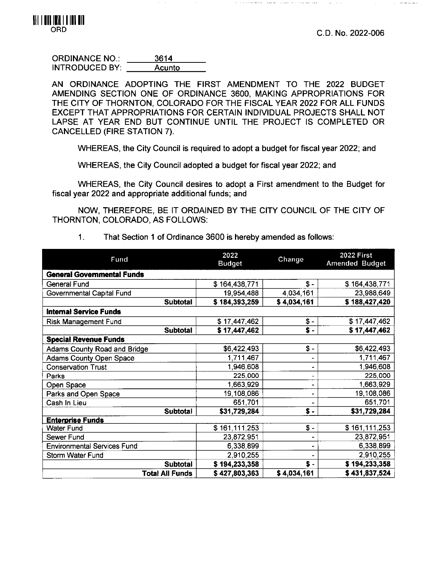**Commission Avenue** 

 $\sim$  $\zeta \sim 1$ 



| <b>ORDINANCE NO.:</b> | 3614   |
|-----------------------|--------|
| <b>INTRODUCED BY:</b> | Acunto |

 $\sim$   $\sim$ 

AN ORDINANCE ADOPTING THE FIRST AMENDMENT TO THE 2022 BUDGET AMENDING SECTION ONE OF ORDINANCE 3600, MAKING APPROPRIATIONS FOR THE CITY OF THORNTON, COLORADO FOR THE FISCAL YEAR 2022 FOR ALL FUNDS EXCEPT THAT APPROPRIATIONS FOR CERTAIN INDIVIDUAL PROJECTS SHALL NOT LAPSE AT YEAR END BUT CONTINUE UNTIL THE PROJECT IS COMPLETED OR CANCELLED (FIRE STATION 7).

WHEREAS, the City Council is required to adopt a budget for fiscal year 2022; and

, we can also write the constant of a power comparison on the set of  $\alpha$ 

WHEREAS, the City Council adopted a budget for fiscal year 2022; and

WHEREAS, the City Council desires to adopt a First amendment to the Budget for fiscal year 2022 and appropriate additional funds; and

NOW, THEREFORE, BE IT ORDAINED BY THE CITY COUNCIL OF THE CITY OF THORNTON, COLORADO, AS FOLLOWS:

| Fund                                | 2022<br><b>Budget</b> | Change          | 2022 First<br><b>Amended Budget</b> |
|-------------------------------------|-----------------------|-----------------|-------------------------------------|
| <b>General Governmental Funds</b>   |                       |                 |                                     |
| <b>General Fund</b>                 | \$164,438,771         | \$ -            | \$164,438,771                       |
| Governmental Capital Fund           | 19,954,488            | 4,034,161       | 23,988,649                          |
| <b>Subtotal</b>                     | \$184,393,259         | \$4,034,161     | \$188,427,420                       |
| <b>Internal Service Funds</b>       |                       |                 |                                     |
| <b>Risk Management Fund</b>         | \$17,447,462          | $$ -$           | \$17,447,462                        |
| <b>Subtotal</b>                     | \$17,447,462          | $s -$           | \$17,447,462                        |
| <b>Special Revenue Funds</b>        |                       |                 |                                     |
| <b>Adams County Road and Bridge</b> | \$6,422,493           | $S -$           | \$6,422,493                         |
| <b>Adams County Open Space</b>      | 1,711,467             |                 | 1,711,467                           |
| <b>Conservation Trust</b>           | 1,946,608             | -               | 1,946,608                           |
| Parks                               | 225,000               | $\qquad \qquad$ | 225,000                             |
| Open Space                          | 1,663,929             | $\blacksquare$  | 1,663,929                           |
| Parks and Open Space                | 19,108,086            |                 | 19,108,086                          |
| Cash In Lieu                        | 651,701               |                 | 651,701                             |
| <b>Subtotal</b>                     | \$31,729,284          | \$ -            | \$31,729,284                        |
| <b>Enterprise Funds</b>             |                       |                 |                                     |
| <b>Water Fund</b>                   | \$161,111,253         | \$-             | \$161 111,253                       |
| Sewer Fund                          | 23,872,951            |                 | 23,872,951                          |
| <b>Environmental Services Fund</b>  | 6,338,899             | -               | 6,338,899                           |
| Storm Water Fund                    | 2,910,255             |                 | 2,910,255                           |
| <b>Subtotal</b>                     | \$194,233,358         | $S -$           | \$194,233,358                       |
| <b>Total All Funds</b>              | \$427,803,363         | \$4,034,161     | \$431,837,524                       |

1. That Section <sup>1</sup> of Ordinance 3600 is hereby amended as follows: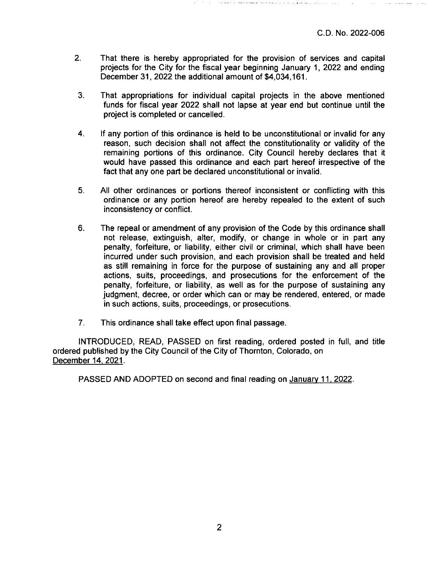- 2. That there is hereby appropriated for the provision of services and capital projects for the City for the fiscal year beginning January 1, 2022 and ending December 31,2022 the additional amount of \$4,034,161.
- 3. That appropriations for individual capital projects in the above mentioned funds for fiscal year 2022 shall not lapse at year end but continue until the project is completed or cancelled.
- 4. If any portion of this ordinance is held to be unconstitutional or invalid for any reason, such decision shall not affect the constitutionality or validity of the remaining portions of this ordinance. City Council hereby declares that it would have passed this ordinance and each part hereof irrespective of the fact that any one part be declared unconstitutional or invalid.
- 5. All other ordinances or portions thereof inconsistent or conflicting with this ordinance or any portion hereof are hereby repealed to the extent of such inconsistency or conflict.
- 6. The repeal or amendment of any provision of the Code by this ordinance shall not release, extinguish, alter, modify, or change in whole or in part any penalty, forfeiture, or liability, either civil or criminal, which shall have been incurred under such provision, and each provision shall be treated and held as still remaining in force for the purpose of sustaining any and all proper actions, suits, proceedings, and prosecutions for the enforcement of the penalty, forfeiture, or liability, as well as for the purpose of sustaining any judgment, decree, or order which can or may be rendered, entered, or made in such actions, suits, proceedings, or prosecutions.
- 7. This ordinance shall take effect upon final passage.

INTRODUCED, READ, PASSED on first reading, ordered posted in full, and title ordered published by the City Council of the City of Thornton, Colorado, on December 14. 2021.

PASSED AND ADOPTED on second and final reading on January 11, 2022.